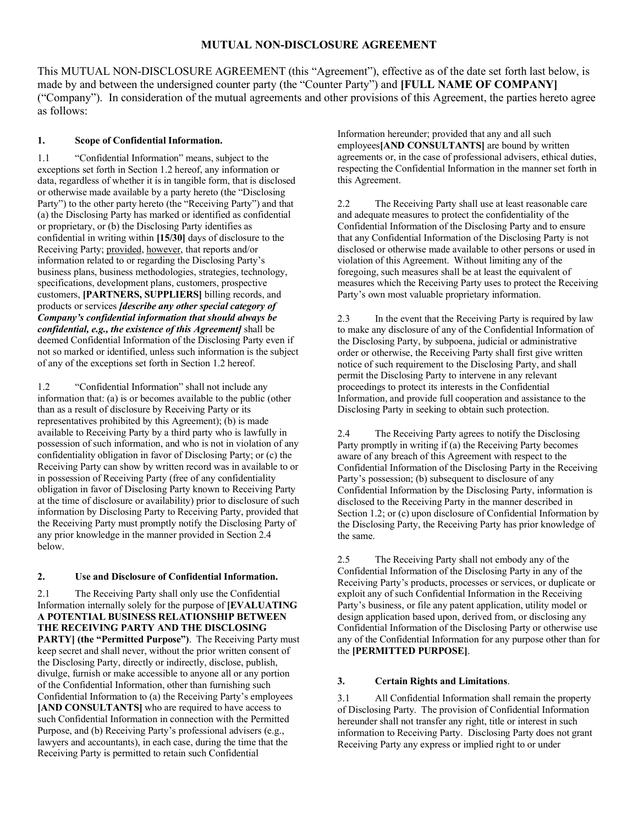This MUTUAL NON-DISCLOSURE AGREEMENT (this "Agreement"), effective as of the date set forth last below, is made by and between the undersigned counter party (the "Counter Party") and **[FULL NAME OF COMPANY]**  ("Company"). In consideration of the mutual agreements and other provisions of this Agreement, the parties hereto agree as follows:

# **1. Scope of Confidential Information.**

1.1 "Confidential Information" means, subject to the exceptions set forth in Section 1.2 hereof, any information or data, regardless of whether it is in tangible form, that is disclosed or otherwise made available by a party hereto (the "Disclosing Party") to the other party hereto (the "Receiving Party") and that (a) the Disclosing Party has marked or identified as confidential or proprietary, or (b) the Disclosing Party identifies as confidential in writing within **[15/30]** days of disclosure to the Receiving Party; provided, however, that reports and/or information related to or regarding the Disclosing Party's business plans, business methodologies, strategies, technology, specifications, development plans, customers, prospective customers, **[PARTNERS, SUPPLIERS]** billing records, and products or services *[describe any other special category of Company's confidential information that should always be confidential, e.g., the existence of this Agreement]* shall be deemed Confidential Information of the Disclosing Party even if not so marked or identified, unless such information is the subject of any of the exceptions set forth in Section 1.2 hereof.

1.2 "Confidential Information" shall not include any information that: (a) is or becomes available to the public (other than as a result of disclosure by Receiving Party or its representatives prohibited by this Agreement); (b) is made available to Receiving Party by a third party who is lawfully in possession of such information, and who is not in violation of any confidentiality obligation in favor of Disclosing Party; or (c) the Receiving Party can show by written record was in available to or in possession of Receiving Party (free of any confidentiality obligation in favor of Disclosing Party known to Receiving Party at the time of disclosure or availability) prior to disclosure of such information by Disclosing Party to Receiving Party, provided that the Receiving Party must promptly notify the Disclosing Party of any prior knowledge in the manner provided in Section 2.4 below.

# **2. Use and Disclosure of Confidential Information.**

2.1 The Receiving Party shall only use the Confidential Information internally solely for the purpose of **[EVALUATING A POTENTIAL BUSINESS RELATIONSHIP BETWEEN THE RECEIVING PARTY AND THE DISCLOSING PARTY] (the "Permitted Purpose")**. The Receiving Party must keep secret and shall never, without the prior written consent of the Disclosing Party, directly or indirectly, disclose, publish, divulge, furnish or make accessible to anyone all or any portion of the Confidential Information, other than furnishing such Confidential Information to (a) the Receiving Party's employees **[AND CONSULTANTS]** who are required to have access to such Confidential Information in connection with the Permitted Purpose, and (b) Receiving Party's professional advisers (e.g., lawyers and accountants), in each case, during the time that the Receiving Party is permitted to retain such Confidential

Information hereunder; provided that any and all such employees**[AND CONSULTANTS]** are bound by written agreements or, in the case of professional advisers, ethical duties, respecting the Confidential Information in the manner set forth in this Agreement.

2.2 The Receiving Party shall use at least reasonable care and adequate measures to protect the confidentiality of the Confidential Information of the Disclosing Party and to ensure that any Confidential Information of the Disclosing Party is not disclosed or otherwise made available to other persons or used in violation of this Agreement. Without limiting any of the foregoing, such measures shall be at least the equivalent of measures which the Receiving Party uses to protect the Receiving Party's own most valuable proprietary information.

2.3 In the event that the Receiving Party is required by law to make any disclosure of any of the Confidential Information of the Disclosing Party, by subpoena, judicial or administrative order or otherwise, the Receiving Party shall first give written notice of such requirement to the Disclosing Party, and shall permit the Disclosing Party to intervene in any relevant proceedings to protect its interests in the Confidential Information, and provide full cooperation and assistance to the Disclosing Party in seeking to obtain such protection.

2.4 The Receiving Party agrees to notify the Disclosing Party promptly in writing if (a) the Receiving Party becomes aware of any breach of this Agreement with respect to the Confidential Information of the Disclosing Party in the Receiving Party's possession; (b) subsequent to disclosure of any Confidential Information by the Disclosing Party, information is disclosed to the Receiving Party in the manner described in Section 1.2; or (c) upon disclosure of Confidential Information by the Disclosing Party, the Receiving Party has prior knowledge of the same.

2.5 The Receiving Party shall not embody any of the Confidential Information of the Disclosing Party in any of the Receiving Party's products, processes or services, or duplicate or exploit any of such Confidential Information in the Receiving Party's business, or file any patent application, utility model or design application based upon, derived from, or disclosing any Confidential Information of the Disclosing Party or otherwise use any of the Confidential Information for any purpose other than for the **[PERMITTED PURPOSE]**.

# **3. Certain Rights and Limitations**.

3.1 All Confidential Information shall remain the property of Disclosing Party. The provision of Confidential Information hereunder shall not transfer any right, title or interest in such information to Receiving Party. Disclosing Party does not grant Receiving Party any express or implied right to or under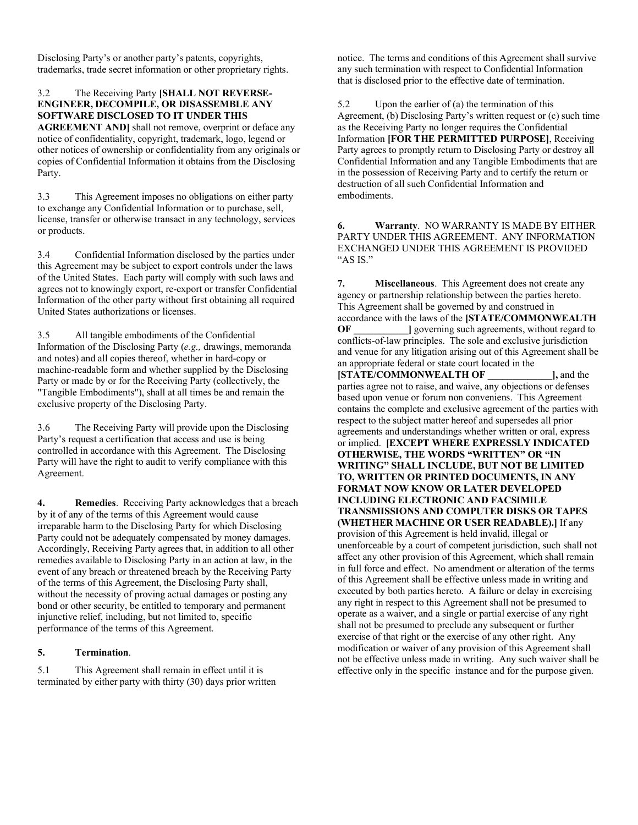Disclosing Party's or another party's patents, copyrights, trademarks, trade secret information or other proprietary rights.

### 3.2 The Receiving Party **[SHALL NOT REVERSE-ENGINEER, DECOMPILE, OR DISASSEMBLE ANY SOFTWARE DISCLOSED TO IT UNDER THIS**

**AGREEMENT AND]** shall not remove, overprint or deface any notice of confidentiality, copyright, trademark, logo, legend or other notices of ownership or confidentiality from any originals or copies of Confidential Information it obtains from the Disclosing Party.

3.3 This Agreement imposes no obligations on either party to exchange any Confidential Information or to purchase, sell, license, transfer or otherwise transact in any technology, services or products.

3.4 Confidential Information disclosed by the parties under this Agreement may be subject to export controls under the laws of the United States. Each party will comply with such laws and agrees not to knowingly export, re-export or transfer Confidential Information of the other party without first obtaining all required United States authorizations or licenses.

3.5 All tangible embodiments of the Confidential Information of the Disclosing Party (*e.g.,* drawings, memoranda and notes) and all copies thereof, whether in hard-copy or machine-readable form and whether supplied by the Disclosing Party or made by or for the Receiving Party (collectively, the "Tangible Embodiments"), shall at all times be and remain the exclusive property of the Disclosing Party.

3.6 The Receiving Party will provide upon the Disclosing Party's request a certification that access and use is being controlled in accordance with this Agreement. The Disclosing Party will have the right to audit to verify compliance with this Agreement.

**4. Remedies**. Receiving Party acknowledges that a breach by it of any of the terms of this Agreement would cause irreparable harm to the Disclosing Party for which Disclosing Party could not be adequately compensated by money damages. Accordingly, Receiving Party agrees that, in addition to all other remedies available to Disclosing Party in an action at law, in the event of any breach or threatened breach by the Receiving Party of the terms of this Agreement, the Disclosing Party shall, without the necessity of proving actual damages or posting any bond or other security, be entitled to temporary and permanent injunctive relief, including, but not limited to, specific performance of the terms of this Agreement.

### **5. Termination**.

5.1 This Agreement shall remain in effect until it is terminated by either party with thirty (30) days prior written notice. The terms and conditions of this Agreement shall survive any such termination with respect to Confidential Information that is disclosed prior to the effective date of termination.

5.2 Upon the earlier of (a) the termination of this Agreement, (b) Disclosing Party's written request or (c) such time as the Receiving Party no longer requires the Confidential Information **[FOR THE PERMITTED PURPOSE]**, Receiving Party agrees to promptly return to Disclosing Party or destroy all Confidential Information and any Tangible Embodiments that are in the possession of Receiving Party and to certify the return or destruction of all such Confidential Information and embodiments.

**6. Warranty**.NO WARRANTY IS MADE BY EITHER PARTY UNDER THIS AGREEMENT. ANY INFORMATION EXCHANGED UNDER THIS AGREEMENT IS PROVIDED "AS IS."

**7. Miscellaneous**.This Agreement does not create any agency or partnership relationship between the parties hereto. This Agreement shall be governed by and construed in accordance with the laws of the **[STATE/COMMONWEALTH OF l** governing such agreements, without regard to conflicts-of-law principles. The sole and exclusive jurisdiction and venue for any litigation arising out of this Agreement shall be an appropriate federal or state court located in the **[STATE/COMMONWEALTH OF ], and the** parties agree not to raise, and waive, any objections or defenses based upon venue or forum non conveniens. This Agreement contains the complete and exclusive agreement of the parties with respect to the subject matter hereof and supersedes all prior agreements and understandings whether written or oral, express or implied. **[EXCEPT WHERE EXPRESSLY INDICATED OTHERWISE, THE WORDS "WRITTEN" OR "IN WRITING" SHALL INCLUDE, BUT NOT BE LIMITED TO, WRITTEN OR PRINTED DOCUMENTS, IN ANY FORMAT NOW KNOW OR LATER DEVELOPED INCLUDING ELECTRONIC AND FACSIMILE TRANSMISSIONS AND COMPUTER DISKS OR TAPES (WHETHER MACHINE OR USER READABLE).]** If any provision of this Agreement is held invalid, illegal or unenforceable by a court of competent jurisdiction, such shall not affect any other provision of this Agreement, which shall remain in full force and effect. No amendment or alteration of the terms of this Agreement shall be effective unless made in writing and executed by both parties hereto. A failure or delay in exercising any right in respect to this Agreement shall not be presumed to operate as a waiver, and a single or partial exercise of any right shall not be presumed to preclude any subsequent or further exercise of that right or the exercise of any other right. Any modification or waiver of any provision of this Agreement shall not be effective unless made in writing. Any such waiver shall be effective only in the specific instance and for the purpose given.